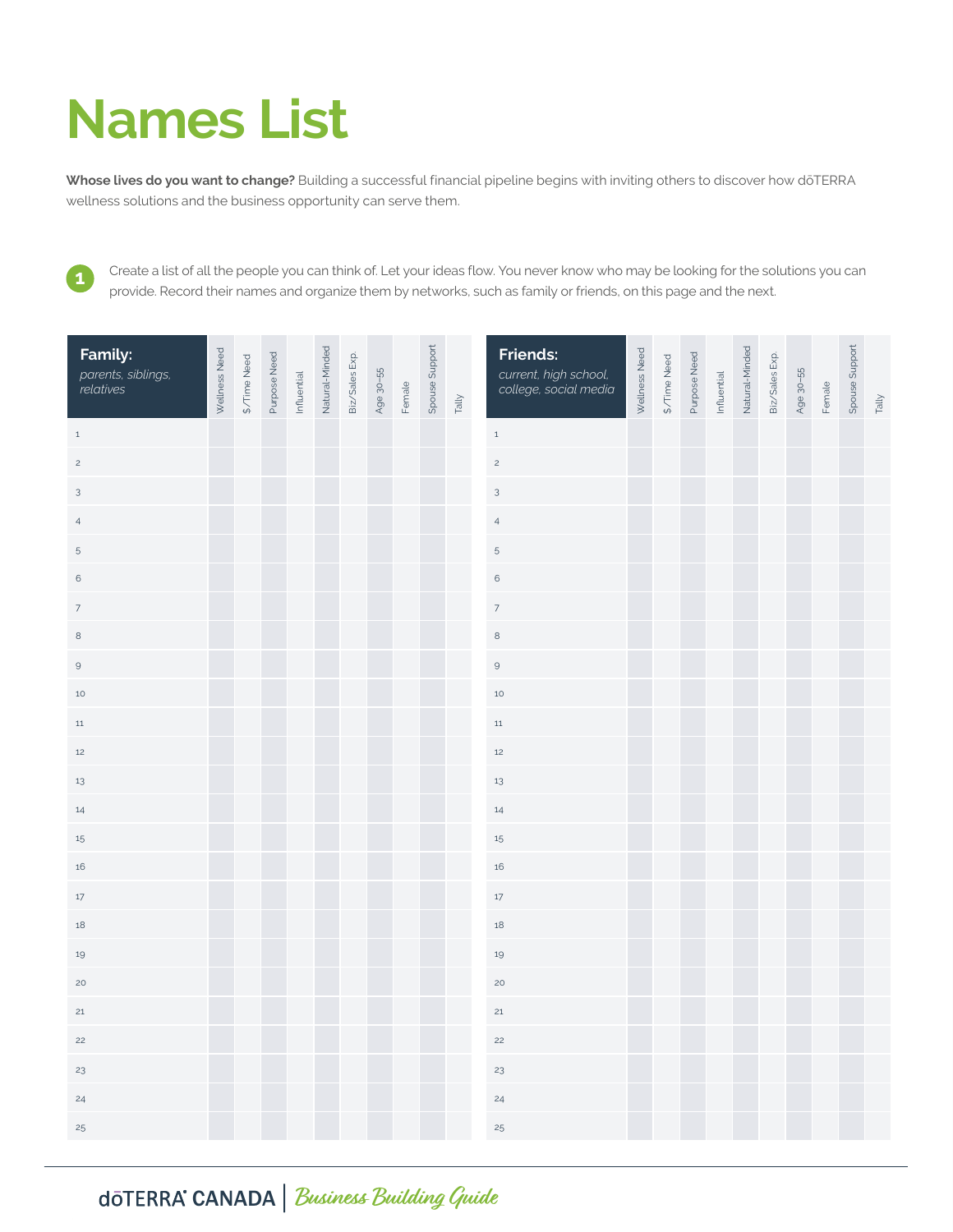## **Names List**

**Whose lives do you want to change?** Building a successful financial pipeline begins with inviting others to discover how dōTERRA wellness solutions and the business opportunity can serve them.

Create a list of all the people you can think of. Let your ideas flow. You never know who may be looking for the solutions you can provide. Record their names and organize them by networks, such as family or friends, on this page and the next.

| Family:<br>parents, siblings,<br>relatives | Wellness Need | \$/Time Need | Purpose Need | Influential | Natural-Minded | Biz/Sales Exp. | Age 30-55 | Female | Spouse Support | Tally | <b>Friends:</b><br>current, high school,<br>college, social media | Wellness Need | \$/Time Need | Purpose Need | Influential | Natural-Minded | Biz/Sales Exp. | Age 30-55 | Female | Spouse Support | Tally |
|--------------------------------------------|---------------|--------------|--------------|-------------|----------------|----------------|-----------|--------|----------------|-------|-------------------------------------------------------------------|---------------|--------------|--------------|-------------|----------------|----------------|-----------|--------|----------------|-------|
| $\,$ 1                                     |               |              |              |             |                |                |           |        |                |       | $\,$ 1 $\,$                                                       |               |              |              |             |                |                |           |        |                |       |
| $\overline{c}$                             |               |              |              |             |                |                |           |        |                |       | $\overline{c}$                                                    |               |              |              |             |                |                |           |        |                |       |
| $\mathbf{3}$                               |               |              |              |             |                |                |           |        |                |       | $\sqrt{3}$                                                        |               |              |              |             |                |                |           |        |                |       |
| $\overline{4}$                             |               |              |              |             |                |                |           |        |                |       | $\overline{4}$                                                    |               |              |              |             |                |                |           |        |                |       |
| $\,$ 5                                     |               |              |              |             |                |                |           |        |                |       | $\,$ 5 $\,$                                                       |               |              |              |             |                |                |           |        |                |       |
| $\,$ 6 $\,$                                |               |              |              |             |                |                |           |        |                |       | $\,$ 6 $\,$                                                       |               |              |              |             |                |                |           |        |                |       |
| $\boldsymbol{7}$                           |               |              |              |             |                |                |           |        |                |       | $\overline{7}$                                                    |               |              |              |             |                |                |           |        |                |       |
| 8                                          |               |              |              |             |                |                |           |        |                |       | $\,8\,$                                                           |               |              |              |             |                |                |           |        |                |       |
| $\mathsf 9$                                |               |              |              |             |                |                |           |        |                |       | $\mathsf{9}$                                                      |               |              |              |             |                |                |           |        |                |       |
| $10$                                       |               |              |              |             |                |                |           |        |                |       | $10\,$                                                            |               |              |              |             |                |                |           |        |                |       |
| $11\,$                                     |               |              |              |             |                |                |           |        |                |       | $11\,$                                                            |               |              |              |             |                |                |           |        |                |       |
| $12$                                       |               |              |              |             |                |                |           |        |                |       | $12$                                                              |               |              |              |             |                |                |           |        |                |       |
| 13                                         |               |              |              |             |                |                |           |        |                |       | $13\,$                                                            |               |              |              |             |                |                |           |        |                |       |
| 14                                         |               |              |              |             |                |                |           |        |                |       | $14\,$                                                            |               |              |              |             |                |                |           |        |                |       |
| $15\phantom{.0}$                           |               |              |              |             |                |                |           |        |                |       | $15\,$                                                            |               |              |              |             |                |                |           |        |                |       |
| 16                                         |               |              |              |             |                |                |           |        |                |       | $16\,$                                                            |               |              |              |             |                |                |           |        |                |       |
| $17\,$                                     |               |              |              |             |                |                |           |        |                |       | $17\,$                                                            |               |              |              |             |                |                |           |        |                |       |
| 18                                         |               |              |              |             |                |                |           |        |                |       | $18\,$                                                            |               |              |              |             |                |                |           |        |                |       |
| $19\,$                                     |               |              |              |             |                |                |           |        |                |       | $19\,$                                                            |               |              |              |             |                |                |           |        |                |       |
| 20                                         |               |              |              |             |                |                |           |        |                |       | 20                                                                |               |              |              |             |                |                |           |        |                |       |
| 21                                         |               |              |              |             |                |                |           |        |                |       | $21\,$                                                            |               |              |              |             |                |                |           |        |                |       |
| 22                                         |               |              |              |             |                |                |           |        |                |       | 22                                                                |               |              |              |             |                |                |           |        |                |       |
| 23                                         |               |              |              |             |                |                |           |        |                |       | 23                                                                |               |              |              |             |                |                |           |        |                |       |
| 24                                         |               |              |              |             |                |                |           |        |                |       | 24                                                                |               |              |              |             |                |                |           |        |                |       |
| $25\,$                                     |               |              |              |             |                |                |           |        |                |       | $25\,$                                                            |               |              |              |             |                |                |           |        |                |       |

CANADA **Business Building Guide**